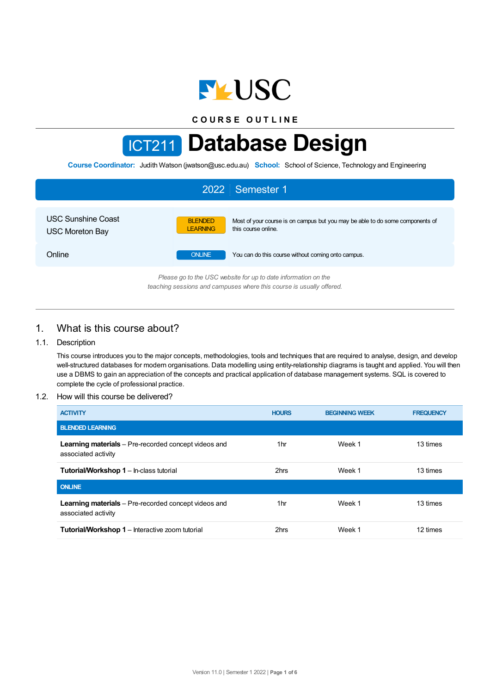

**C O U R S E O U T L I N E**

# ICT211 **Database Design**

**Course Coordinator:** Judith Watson (jwatson@usc.edu.au) **School:** School of Science, Technology and Engineering

| 2022 Semester 1                                                 |                                                                                                                                           |  |  |  |
|-----------------------------------------------------------------|-------------------------------------------------------------------------------------------------------------------------------------------|--|--|--|
| <b>USC Sunshine Coast</b><br><b>USC Moreton Bay</b>             | <b>BLENDED</b><br>Most of your course is on campus but you may be able to do some components of<br>this course online.<br><b>LEARNING</b> |  |  |  |
| Online                                                          | <b>ONLINE</b><br>You can do this course without coming onto campus.                                                                       |  |  |  |
| Please an to the LISC website for up to date information on the |                                                                                                                                           |  |  |  |

*Please go to the USC website for up to date information on the teaching sessions and campuses where this course is usually offered.*

# 1. What is this course about?

#### 1.1. Description

This course introduces you to the major concepts, methodologies, tools and techniques that are required to analyse, design, and develop well-structured databases for modern organisations. Data modelling using entity-relationship diagrams is taught and applied. You will then use a DBMS to gain an appreciation of the concepts and practical application of database management systems. SQL is covered to complete the cycle of professional practice.

#### 1.2. How will this course be delivered?

| <b>ACTIVITY</b>                                                                    | <b>HOURS</b> | <b>BEGINNING WEEK</b> | <b>FREQUENCY</b> |
|------------------------------------------------------------------------------------|--------------|-----------------------|------------------|
| <b>BLENDED LEARNING</b>                                                            |              |                       |                  |
| <b>Learning materials</b> – Pre-recorded concept videos and<br>associated activity | 1hr          | Week 1                | 13 times         |
| <b>Tutorial/Workshop 1 – In-class tutorial</b>                                     | 2hrs         | Week 1                | 13 times         |
| <b>ONLINE</b>                                                                      |              |                       |                  |
| <b>Learning materials</b> – Pre-recorded concept videos and<br>associated activity | 1hr          | Week 1                | 13 times         |
| <b>Tutorial/Workshop 1</b> – Interactive zoom tutorial                             | 2hrs         | Week 1                | 12 times         |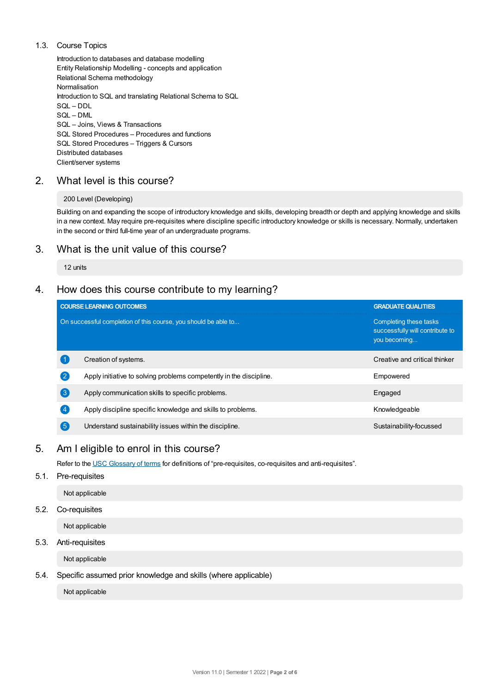## 1.3. Course Topics

Introduction to databases and database modelling Entity Relationship Modelling - concepts and application Relational Schema methodology Normalisation Introduction to SQL and translating Relational Schema to SQL SQL – DDL SQL – DML SQL – Joins, Views & Transactions SQL Stored Procedures – Procedures and functions SQL Stored Procedures – Triggers & Cursors Distributed databases Client/server systems

# 2. What level is this course?

## 200 Level (Developing)

Building on and expanding the scope of introductory knowledge and skills, developing breadth or depth and applying knowledge and skills in a new context. May require pre-requisites where discipline specific introductory knowledge or skills is necessary. Normally, undertaken in the second or third full-time year of an undergraduate programs.

# 3. What is the unit value of this course?

12 units

# 4. How does this course contribute to my learning?

|                    | <b>COURSE LEARNING OUTCOMES</b>                                     | <b>GRADUATE QUALITIES</b>                                                 |
|--------------------|---------------------------------------------------------------------|---------------------------------------------------------------------------|
|                    | On successful completion of this course, you should be able to      | Completing these tasks<br>successfully will contribute to<br>you becoming |
|                    | Creation of systems.                                                | Creative and critical thinker                                             |
| $\left( 2\right)$  | Apply initiative to solving problems competently in the discipline. | Empowered                                                                 |
| 3                  | Apply communication skills to specific problems.                    | Engaged                                                                   |
| $\left( 4 \right)$ | Apply discipline specific knowledge and skills to problems.         | Knowledgeable                                                             |
| $\left( 5\right)$  | Understand sustainability issues within the discipline.             | Sustainability-focussed                                                   |

# 5. Am Ieligible to enrol in this course?

Refer to the USC [Glossary](https://www.usc.edu.au/about/policies-and-procedures/glossary-of-terms-for-policy-and-procedures) of terms for definitions of "pre-requisites, co-requisites and anti-requisites".

#### 5.1. Pre-requisites

Not applicable

# 5.2. Co-requisites

Not applicable

## 5.3. Anti-requisites

Not applicable

# 5.4. Specific assumed prior knowledge and skills (where applicable)

Not applicable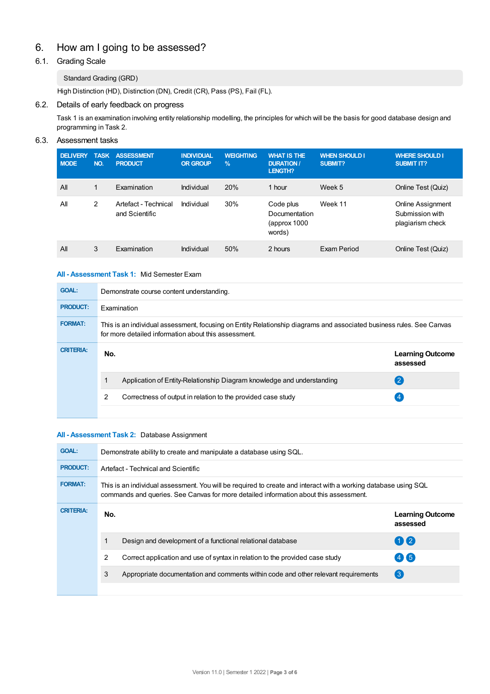# 6. How am Igoing to be assessed?

# 6.1. Grading Scale

# Standard Grading (GRD)

High Distinction (HD), Distinction (DN), Credit (CR), Pass (PS), Fail (FL).

## 6.2. Details of early feedback on progress

Task 1 is an examination involving entity relationship modelling, the principles for which will be the basis for good database design and programming in Task 2.

## 6.3. Assessment tasks

| <b>DELIVERY</b><br><b>NODE</b> | <b>TASK</b><br>NO. | <b>ASSESSMENT</b><br><b>PRODUCT</b>    | <b>INDIVIDUAL</b><br><b>OR GROUP</b> | <b>WEIGHTING</b><br>$\frac{9}{6}$ | <b>WHAT IS THE</b><br><b>DURATION /</b><br><b>LENGTH?</b> | <b>WHEN SHOULD I</b><br><b>SUBMIT?</b> | <b>WHERE SHOULD I</b><br><b>SUBMIT IT?</b>               |
|--------------------------------|--------------------|----------------------------------------|--------------------------------------|-----------------------------------|-----------------------------------------------------------|----------------------------------------|----------------------------------------------------------|
| All                            | $\mathbf{1}$       | Examination                            | Individual                           | 20%                               | 1 hour                                                    | Week 5                                 | Online Test (Quiz)                                       |
| All                            | 2                  | Artefact - Technical<br>and Scientific | Individual                           | 30%                               | Code plus<br>Documentation<br>(approx 1000)<br>words)     | Week 11                                | Online Assignment<br>Submission with<br>plagiarism check |
| All                            | 3                  | Examination                            | Individual                           | 50%                               | 2 hours                                                   | Exam Period                            | Online Test (Quiz)                                       |

#### **All - Assessment Task 1:** Mid Semester Exam

| <b>GOAL:</b>     | Demonstrate course content understanding.                                                                                                                                    |                                     |  |  |  |
|------------------|------------------------------------------------------------------------------------------------------------------------------------------------------------------------------|-------------------------------------|--|--|--|
| <b>PRODUCT:</b>  | Examination                                                                                                                                                                  |                                     |  |  |  |
| <b>FORMAT:</b>   | This is an individual assessment, focusing on Entity Relationship diagrams and associated business rules. See Canvas<br>for more detailed information about this assessment. |                                     |  |  |  |
| <b>CRITERIA:</b> | No.                                                                                                                                                                          | <b>Learning Outcome</b><br>assessed |  |  |  |
|                  | Application of Entity-Relationship Diagram knowledge and understanding                                                                                                       | $\left( 2\right)$                   |  |  |  |
|                  | 2<br>Correctness of output in relation to the provided case study                                                                                                            |                                     |  |  |  |
|                  |                                                                                                                                                                              |                                     |  |  |  |

#### **All - Assessment Task 2:** Database Assignment

| <b>GOAL:</b>     | Demonstrate ability to create and manipulate a database using SQL.                                                                                                                                       |                                                                                    |                                     |  |  |
|------------------|----------------------------------------------------------------------------------------------------------------------------------------------------------------------------------------------------------|------------------------------------------------------------------------------------|-------------------------------------|--|--|
| <b>PRODUCT:</b>  | Artefact - Technical and Scientific                                                                                                                                                                      |                                                                                    |                                     |  |  |
| <b>FORMAT:</b>   | This is an individual assessment. You will be required to create and interact with a working database using SQL<br>commands and queries. See Canvas for more detailed information about this assessment. |                                                                                    |                                     |  |  |
| <b>CRITERIA:</b> | No.                                                                                                                                                                                                      |                                                                                    | <b>Learning Outcome</b><br>assessed |  |  |
|                  |                                                                                                                                                                                                          | Design and development of a functional relational database                         | $\bigcirc$                          |  |  |
|                  | 2                                                                                                                                                                                                        | Correct application and use of syntax in relation to the provided case study       | $(4)$ (5)                           |  |  |
|                  | 3                                                                                                                                                                                                        | Appropriate documentation and comments within code and other relevant requirements | $\left(3\right)$                    |  |  |
|                  |                                                                                                                                                                                                          |                                                                                    |                                     |  |  |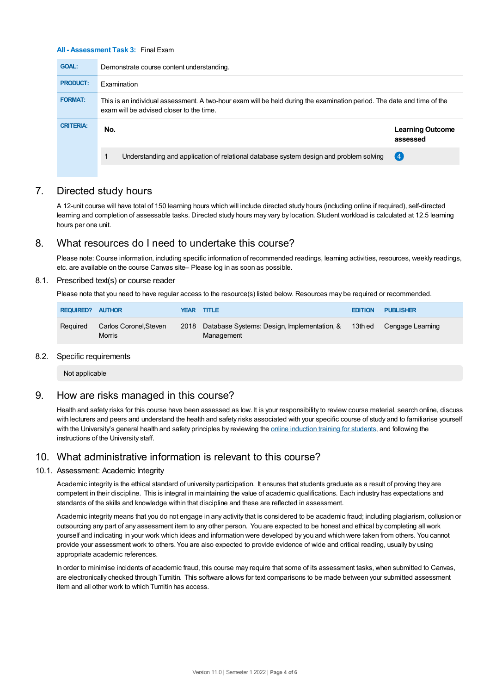#### **All - Assessment Task 3:** Final Exam

| <b>GOAL:</b>     | Demonstrate course content understanding.                                                                                                                          |                                     |  |  |  |
|------------------|--------------------------------------------------------------------------------------------------------------------------------------------------------------------|-------------------------------------|--|--|--|
| <b>PRODUCT:</b>  | <b>Examination</b>                                                                                                                                                 |                                     |  |  |  |
| <b>FORMAT:</b>   | This is an individual assessment. A two-hour exam will be held during the examination period. The date and time of the<br>exam will be advised closer to the time. |                                     |  |  |  |
|                  |                                                                                                                                                                    |                                     |  |  |  |
| <b>CRITERIA:</b> | No.                                                                                                                                                                | <b>Learning Outcome</b><br>assessed |  |  |  |
|                  | Understanding and application of relational database system design and problem solving                                                                             | (4)                                 |  |  |  |

## 7. Directed study hours

A 12-unit course will have total of 150 learning hours which will include directed study hours (including online if required), self-directed learning and completion of assessable tasks. Directed study hours may vary by location. Student workload is calculated at 12.5 learning hours per one unit.

# 8. What resources do I need to undertake this course?

Please note: Course information, including specific information of recommended readings, learning activities, resources, weekly readings, etc. are available on the course Canvas site– Please log in as soon as possible.

#### 8.1. Prescribed text(s) or course reader

Please note that you need to have regular access to the resource(s) listed below. Resources may be required or recommended.

| <b>REQUIRED? AUTHOR</b> |                                         | <b>YEAR TITLE</b>                                                                       | <b>EDITION</b> | <b>PUBLISHER</b> |
|-------------------------|-----------------------------------------|-----------------------------------------------------------------------------------------|----------------|------------------|
| Reguired                | Carlos Coronel, Steven<br><b>Morris</b> | 2018 Database Systems: Design, Implementation, & 13th ed Cengage Learning<br>Management |                |                  |

#### 8.2. Specific requirements

Not applicable

# 9. How are risks managed in this course?

Health and safety risks for this course have been assessed as low. It is your responsibility to review course material, search online, discuss with lecturers and peers and understand the health and safety risks associated with your specific course of study and to familiarise yourself with the University's general health and safety principles by reviewing the online [induction](https://online.usc.edu.au/webapps/blackboard/content/listContentEditable.jsp?content_id=_632657_1&course_id=_14432_1) training for students, and following the instructions of the University staff.

# 10. What administrative information is relevant to this course?

#### 10.1. Assessment: Academic Integrity

Academic integrity is the ethical standard of university participation. It ensures that students graduate as a result of proving they are competent in their discipline. This is integral in maintaining the value of academic qualifications. Each industry has expectations and standards of the skills and knowledge within that discipline and these are reflected in assessment.

Academic integrity means that you do not engage in any activity that is considered to be academic fraud; including plagiarism, collusion or outsourcing any part of any assessment item to any other person. You are expected to be honest and ethical by completing all work yourself and indicating in your work which ideas and information were developed by you and which were taken from others. You cannot provide your assessment work to others. You are also expected to provide evidence of wide and critical reading, usually by using appropriate academic references.

In order to minimise incidents of academic fraud, this course may require that some of its assessment tasks, when submitted to Canvas, are electronically checked through Turnitin. This software allows for text comparisons to be made between your submitted assessment item and all other work to which Turnitin has access.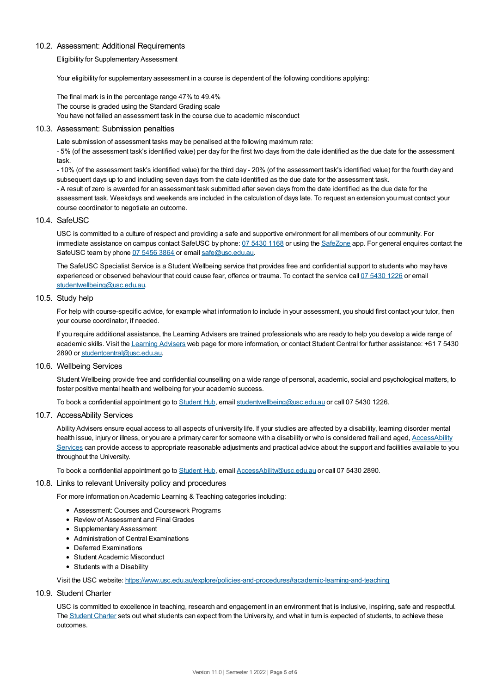#### 10.2. Assessment: Additional Requirements

Eligibility for Supplementary Assessment

Your eligibility for supplementary assessment in a course is dependent of the following conditions applying:

The final mark is in the percentage range 47% to 49.4% The course is graded using the Standard Grading scale You have not failed an assessment task in the course due to academic misconduct

#### 10.3. Assessment: Submission penalties

Late submission of assessment tasks may be penalised at the following maximum rate:

- 5% (of the assessment task's identified value) per day for the first two days from the date identified as the due date for the assessment task.

- 10% (of the assessment task's identified value) for the third day - 20% (of the assessment task's identified value) for the fourth day and subsequent days up to and including seven days from the date identified as the due date for the assessment task.

- A result of zero is awarded for an assessment task submitted after seven days from the date identified as the due date for the assessment task. Weekdays and weekends are included in the calculation of days late. To request an extension you must contact your course coordinator to negotiate an outcome.

#### 10.4. SafeUSC

USC is committed to a culture of respect and providing a safe and supportive environment for all members of our community. For immediate assistance on campus contact SafeUSC by phone: 07 [5430](tel:07%205430%201168) 1168 or using the [SafeZone](https://www.safezoneapp.com) app. For general enquires contact the SafeUSC team by phone 07 [5456](tel:07%205456%203864) 3864 or email [safe@usc.edu.au](mailto:safe@usc.edu.au).

The SafeUSC Specialist Service is a Student Wellbeing service that provides free and confidential support to students who may have experienced or observed behaviour that could cause fear, offence or trauma. To contact the service call 07 [5430](tel:07%205430%201226) 1226 or email [studentwellbeing@usc.edu.au](mailto:studentwellbeing@usc.edu.au).

#### 10.5. Study help

For help with course-specific advice, for example what information to include in your assessment, you should first contact your tutor, then your course coordinator, if needed.

If you require additional assistance, the Learning Advisers are trained professionals who are ready to help you develop a wide range of academic skills. Visit the Learning [Advisers](https://www.usc.edu.au/current-students/student-support/academic-and-study-support/learning-advisers) web page for more information, or contact Student Central for further assistance: +61 7 5430 2890 or [studentcentral@usc.edu.au](mailto:studentcentral@usc.edu.au).

#### 10.6. Wellbeing Services

Student Wellbeing provide free and confidential counselling on a wide range of personal, academic, social and psychological matters, to foster positive mental health and wellbeing for your academic success.

To book a confidential appointment go to [Student](https://studenthub.usc.edu.au/) Hub, email [studentwellbeing@usc.edu.au](mailto:studentwellbeing@usc.edu.au) or call 07 5430 1226.

#### 10.7. AccessAbility Services

Ability Advisers ensure equal access to all aspects of university life. If your studies are affected by a disability, learning disorder mental health issue, injury or illness, or you are a primary carer for someone with a disability or who is considered frail and aged, [AccessAbility](https://www.usc.edu.au/learn/student-support/accessability-services/documentation-requirements) Services can provide access to appropriate reasonable adjustments and practical advice about the support and facilities available to you throughout the University.

To book a confidential appointment go to [Student](https://studenthub.usc.edu.au/) Hub, email [AccessAbility@usc.edu.au](mailto:AccessAbility@usc.edu.au) or call 07 5430 2890.

#### 10.8. Links to relevant University policy and procedures

For more information on Academic Learning & Teaching categories including:

- Assessment: Courses and Coursework Programs
- Review of Assessment and Final Grades
- Supplementary Assessment
- Administration of Central Examinations
- Deferred Examinations
- Student Academic Misconduct
- Students with a Disability

Visit the USC website: <https://www.usc.edu.au/explore/policies-and-procedures#academic-learning-and-teaching>

10.9. Student Charter

USC is committed to excellence in teaching, research and engagement in an environment that is inclusive, inspiring, safe and respectful. The [Student](https://www.usc.edu.au/current-students/student-charter) Charter sets out what students can expect from the University, and what in turn is expected of students, to achieve these outcomes.